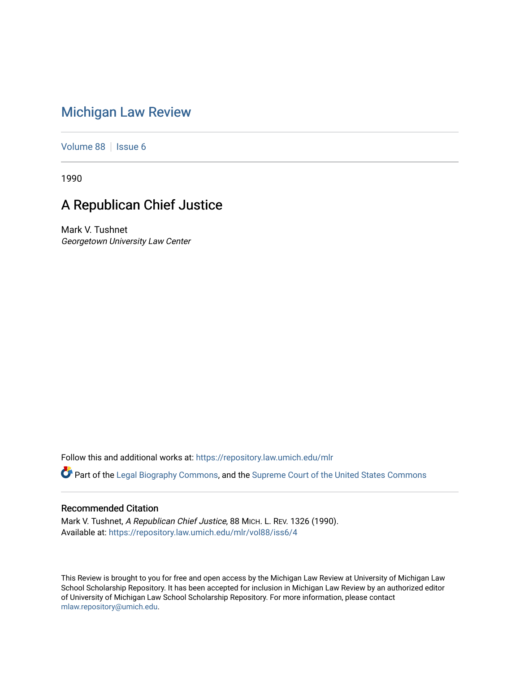## [Michigan Law Review](https://repository.law.umich.edu/mlr)

[Volume 88](https://repository.law.umich.edu/mlr/vol88) | [Issue 6](https://repository.law.umich.edu/mlr/vol88/iss6)

1990

## A Republican Chief Justice

Mark V. Tushnet Georgetown University Law Center

Follow this and additional works at: [https://repository.law.umich.edu/mlr](https://repository.law.umich.edu/mlr?utm_source=repository.law.umich.edu%2Fmlr%2Fvol88%2Fiss6%2F4&utm_medium=PDF&utm_campaign=PDFCoverPages) 

Part of the [Legal Biography Commons,](http://network.bepress.com/hgg/discipline/834?utm_source=repository.law.umich.edu%2Fmlr%2Fvol88%2Fiss6%2F4&utm_medium=PDF&utm_campaign=PDFCoverPages) and the Supreme Court of the United States Commons

## Recommended Citation

Mark V. Tushnet, A Republican Chief Justice, 88 MICH. L. REV. 1326 (1990). Available at: [https://repository.law.umich.edu/mlr/vol88/iss6/4](https://repository.law.umich.edu/mlr/vol88/iss6/4?utm_source=repository.law.umich.edu%2Fmlr%2Fvol88%2Fiss6%2F4&utm_medium=PDF&utm_campaign=PDFCoverPages)

This Review is brought to you for free and open access by the Michigan Law Review at University of Michigan Law School Scholarship Repository. It has been accepted for inclusion in Michigan Law Review by an authorized editor of University of Michigan Law School Scholarship Repository. For more information, please contact [mlaw.repository@umich.edu.](mailto:mlaw.repository@umich.edu)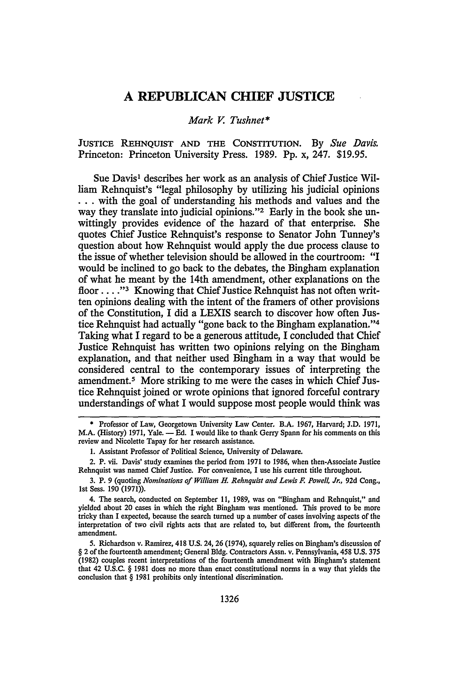## **A REPUBLICAN CHIEF JUSTICE**

*Mark V. Tushnet\** 

JUSTICE REHNQUIST AND THE CONSTITUTION. By *Sue Davis.*  Princeton: Princeton University Press. 1989. Pp. x, 247. \$19.95.

Sue Davis1 describes her work as an analysis of Chief Justice William Rehnquist's "legal philosophy by utilizing his judicial opinions . . . with the goal of understanding his methods and values and the way they translate into judicial opinions."2 Early in the book she unwittingly provides evidence of the hazard of that enterprise. She quotes Chief Justice Rehnquist's response to Senator John Tunney's question about how Rehnquist would apply the due process clause to the issue of whether television should be allowed in the courtroom: "I would be inclined to go back to the debates, the Bingham explanation of what he meant by the 14th amendment, other explanations on the floor  $\dots$ ."<sup>3</sup> Knowing that Chief Justice Rehnquist has not often written opinions dealing with the intent of the framers of other provisions of the Constitution, I did a LEXIS search to discover how often Justice Rehnquist had actually "gone back to the Bingham explanation."4 Taking what I regard to be a generous attitude, I concluded that Chief Justice Rehnquist has written two opinions relying on the Bingham explanation, and that neither used Bingham in a way that would be considered central to the contemporary issues of interpreting the amendment.5 More striking to me were the cases in which Chief Justice Rehnquist joined or wrote opinions that ignored forceful contrary understandings of what I would suppose most people would think was

<sup>\*</sup> Professor of Law, Georgetown University Law Center. B.A. 1967, Harvard; J.D. 1971, M.A. (History) 1971, Yale. -- Ed. I would like to thank Gerry Spann for his comments on this review and Nicolette Tapay for her research assistance.

<sup>1.</sup> Assistant Professor of Political Science, University of Delaware.

<sup>2.</sup> P. vii. Davis' study examines the period from 1971 to 1986, when then-Associate Justice Rehnquist was named Chief Justice. For convenience, I use his current title throughout.

<sup>3.</sup> P. 9 (quoting *Nominations of William* H. *Rehnquist and Lewis* F. *Powell,* Jr., 92d Cong., 1st Sess. 190 (1971)).

<sup>4.</sup> The search, conducted on September 11, 1989, was on "Bingham and Rehnquist," and yielded about 20 cases in which the right Bingham was mentioned. This proved to be more tricky than I expected, because the search turned up a number of cases involving aspects of the interpretation of two civil rights acts that are related to, but different from, the fourteenth amendment.

*<sup>5.</sup>* Richardson v. Ramirez, 418 U.S. 24, 26 (1974), squarely relies on Bingham's discussion of § 2 of the fourteenth amendment; General Bldg. Contractors Assn. v. Pennsylvania, 458 U.S. 375 (1982) couples recent interpretations of the fourteenth amendment with Bingham's statement that 42 U.S.C. § 1981 does no more than enact constitutional norms in a way that yields the conclusion that§ 1981 prohibits only intentional discrimination.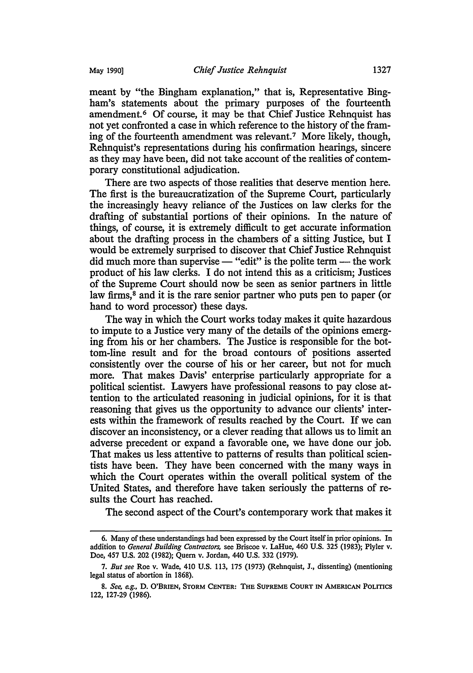meant by "the Bingham explanation," that is, Representative Bingham's statements about the primary purposes of the fourteenth amendment.<sup>6</sup> Of course, it may be that Chief Justice Rehnquist has not yet confronted a case in which reference to the history of the framing of the fourteenth amendment was relevant.7 More likely, though, Rehnquist's representations during his confirmation hearings, sincere as they may have been, did not take account of the realities of contemporary constitutional adjudication.

There are two aspects of those realities that deserve mention here. The first is the bureaucratization of the Supreme Court, particularly the increasingly heavy reliance of the Justices on law clerks for the drafting of substantial portions of their opinions. In the nature of things, of course, it is extremely difficult to get accurate information about the drafting process in the chambers of a sitting Justice, but I would be extremely surprised to discover that Chief Justice Rehnquist did much more than supervise — "edit" is the polite term — the work product of his law clerks. I do not intend this as a criticism; Justices of the Supreme Court should now be seen as senior partners in little law firms,<sup>8</sup> and it is the rare senior partner who puts pen to paper (or hand to word processor) these days.

The way in which the Court works today makes it quite hazardous to impute to a Justice very many of the details of the opinions emerging from his or her chambers. The Justice is responsible for the bottom-line result and for the broad contours of positions asserted consistently over the course of his or her career, but not for much more. That makes Davis' enterprise particularly appropriate for a political scientist. Lawyers have professional reasons to pay close attention to the articulated reasoning in judicial opinions, for it is that reasoning that gives us the opportunity to advance our clients' interests within the framework of results reached by the Court. If we can discover an inconsistency, or a clever reading that allows us to limit an adverse precedent or expand a favorable one, we have done our job. That makes us less attentive to patterns of results than political scientists have been. They have been concerned with the many ways in which the Court operates within the overall political system of the United States, and therefore have taken seriously the patterns of results the Court has reached.

The second aspect of the Court's contemporary work that makes it

<sup>6.</sup> Many of these understandings had been expressed by the Court itself in prior opinions. In addition to *General Building Contractors,* see Briscoe v. LaHue, 460 U.S. 325 (1983); Plyler v. Doe, 457 U.S. 202 (1982); Quern v. Jordan, 440 U.S. 332 (1979).

<sup>7.</sup> *But see* Roe v. Wade, 410 U.S. 113, 175 (1973) (Rehnquist, J., dissenting) (mentioning legal status of abortion in 1868).

<sup>8.</sup> *See, e.g.,* D. O'BRIEN, STORM CENTER: THE SUPREME COURT IN AMERICAN POLITICS 122, 127-29 (1986).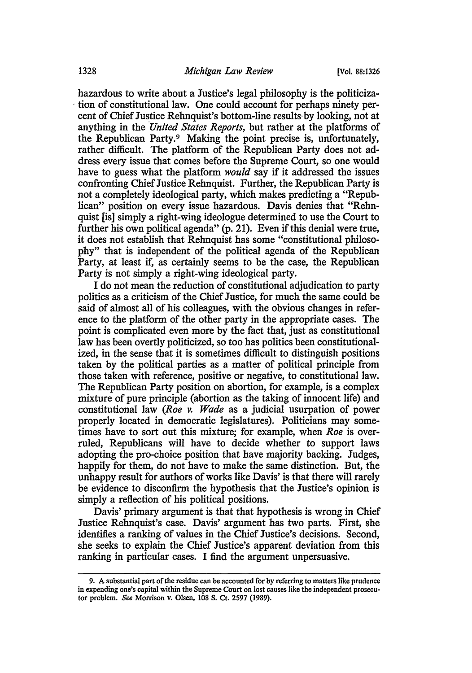hazardous to write about a Justice's legal philosophy is the politiciza- . tion of constitutional law. One could account for perhaps ninety percent of Chief Justice Rehnquist's bottom-line results· by looking, not at anything in the *United States Reports*, but rather at the platforms of the Republican Party.9 Making the point precise is, unfortunately, rather difficult. The platform of the Republican Party does not address every issue that comes before the Supreme Court, so one would have to guess what the platform *would* say if it addressed the issues confronting Chief Justice Rehnquist. Further, the Republican Party is not a completely ideological party, which makes predicting a "Republican" position on every issue hazardous. Davis denies that "Rehnquist [is] simply a right-wing ideologue determined to use the Court to further his own political agenda" (p. 21). Even if this denial were true, it does not establish that Rehnquist has some "constitutional philosophy" that is independent of the political agenda of the Republican Party, at least if, as certainly seems to be the case, the Republican Party is not simply a right-wing ideological party.

I do not mean the reduction of constitutional adjudication to party politics as a criticism of the Chief Justice, for much the same could be said of almost all of his colleagues, with the obvious changes in reference to the platform of the other party in the appropriate cases. The point is complicated even more by the fact that, just as constitutional law has been overtly politicized, so too has politics been constitutionalized, in the sense that it is sometimes difficult to distinguish positions taken by the political parties as a matter of political principle from those taken with reference, positive or negative, to constitutional law. The Republican Party position on abortion, for example, is a complex mixture of pure principle {abortion as the taking of innocent life) and constitutional law *(Roe v. Wade* as a judicial usurpation of power properly located in democratic legislatures). Politicians may sometimes have to sort out this mixture; for example, when *Roe* is overruled, Republicans will have to decide whether to support laws adopting the pro-choice position that have majority backing. Judges, happily for them, do not have to make the same distinction. But, the unhappy result for authors of works like Davis' is that there will rarely be evidence to disconfirm the hypothesis that the Justice's opinion is simply a reflection of his political positions.

Davis' primary argument is that that hypothesis is wrong in Chief Justice Rehnquist's case. Davis' argument has two parts. First, she identifies a ranking of values in the Chief Justice's decisions. Second, she seeks to explain the Chief Justice's apparent deviation from this ranking in particular cases. I find the argument unpersuasive.

<sup>9.</sup> A substantial part of the residue can be accounted for by referring to matters like prudence in expending one's capital within the Supreme Court on lost causes like the independent prosecutor problem. *See* Morrison v. Olsen, 108 S. Ct. 2597 (1989).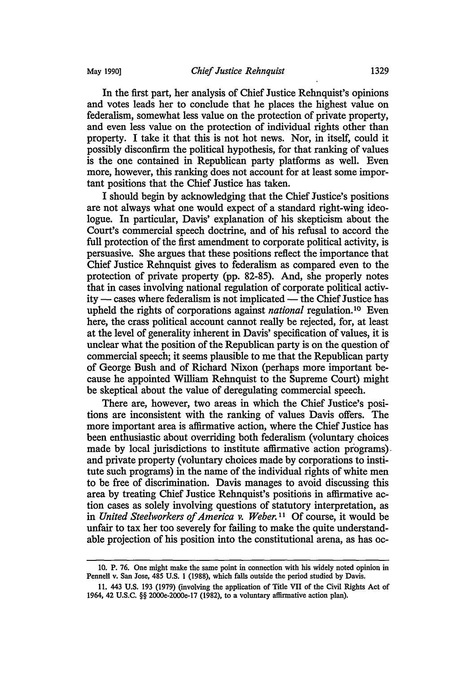In the first part, her analysis of Chief Justice Rehnquist's opinions and votes leads her to conclude that he places the highest value on federalism, somewhat less value on the protection of private property, and even less value on the protection of individual rights other than property. I take it that this is not hot news. Nor, in itself, could it possibly disconfirm the political hypothesis, for that ranking of values is the one contained in Republican party platforms as well. Even more, however, this ranking does not account for at least some important positions that the Chief Justice has taken.

I should begin by acknowledging that the Chief Justice's positions are not always what one would expect of a standard right-wing ideologue. In particular, Davis' explanation of his skepticism about the Court's commercial speech doctrine, and of his refusal to accord the full protection of the first amendment to corporate political activity, is persuasive. She argues that these positions reflect the importance that Chief Justice Rehnquist gives to federalism as compared even to the protection of private property (pp. 82-85). And, she properly notes that in cases involving national regulation of corporate political activ $ity$  — cases where federalism is not implicated — the Chief Justice has upheld the rights of corporations against *national* regulation. 10 Even here, the crass political account cannot really be rejected, for, at least at the level of generality inherent in Davis' specification of values, it is unclear what the position of the Republican party is on the question of commercial speech; it seems plausible to me that the Republican party of George Bush and of Richard Nixon (perhaps more important because he appointed William Rehnquist to the Supreme Court) might be skeptical about the value of deregulating commercial speech.

There are, however, two areas in which the Chief Justice's positions are inconsistent with the ranking of values Davis offers. The more important area is affirmative action, where the Chief Justice has been enthusiastic about overriding both federalism (voluntary choices made by local jurisdictions to institute affirmative action programs). and private property (voluntary choices made by corporations to institute such programs) in the name of the individual rights of white men to be free of discrimination. Davis manages to avoid discussing this area by treating Chief Justice Rehnquist's positions in affirmative action cases as solely involving questions of statutory interpretation, as in *United Steelworkers of America v. Weber.* 11 Of course, it would be unfair to tax her too severely for failing to make the quite understandable projection of his position into the constitutional arena, as has oc-

<sup>10.</sup> P. 76. One might make the same point in connection with his widely noted opinion in Pennell v. San Jose, 485 U.S. 1 (1988), which falls outside the period studied by Davis.

<sup>11. 443</sup> U.S. 193 (1979) (involving the application of Title VII of the Civil Rights Act of 1964, 42 U.S.C. §§ 2000e-2000e-17 (1982), to a voluntary affirmative action plan).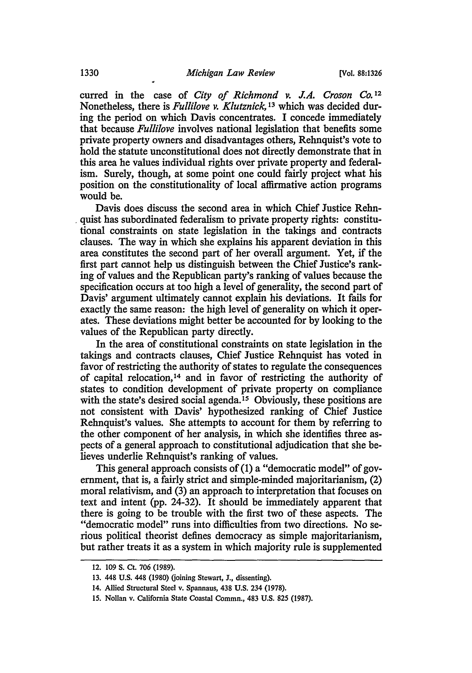curred in the case of *City of Richmond v. J.A. Croson Co.* <sup>12</sup> Nonetheless, there is *Fullilove v. Klutznick,* 13 which was decided during the period on which Davis concentrates. I concede immediately that because *Fullilove* involves national legislation that benefits some private property owners and disadvantages others, Rehnquist's vote to hold the statute unconstitutional does not directly demonstrate that in this area he values individual rights over private property and federalism. Surely, though, at some point one could fairly project what his position on the constitutionality of local affirmative action programs would be.

Davis does discuss the second area in which Chief Justice Rehn- . quist has subordinated federalism to private property rights: constitutional constraints on state legislation in the takings and contracts clauses. The way in which she explains his apparent deviation in this area constitutes the second part of her overall argument. Yet, if the first part cannot help us distinguish between the Chief Justice's ranking of values and the Republican party's ranking of values because the specification occurs at too high a level of generality, the second part of Davis' argument ultimately cannot explain his deviations. It fails for exactly the same reason: the high level of generality on which it operates. These deviations might better be accounted for by looking to the values of the Republican party directly.

In the area of constitutional constraints on state legislation in the takings and contracts clauses, Chief Justice Rehnquist has voted in favor of restricting the authority of states to regulate the consequences of capital relocation, 14 and in favor of restricting the authority of states to condition development of private property on compliance with the state's desired social agenda.<sup>15</sup> Obviously, these positions are not consistent with Davis' hypothesized ranking of Chief Justice Rehnquist's values. She attempts to account for them by referring to the other component of her analysis, in which she identifies three aspects of a general approach to constitutional adjudication that she believes underlie Rehnquist's ranking of values.

This general approach consists of (1) a "democratic model" of government, that is, a fairly strict and simple-minded majoritarianism, (2) moral relativism, and (3) an approach to interpretation that focuses on text and intent (pp. 24-32). It should be immediately apparent that there is going to be trouble with the first two of these aspects. The "democratic model" runs into difficulties from two directions. Noserious political theorist defines democracy as simple majoritarianism, but rather treats it as a system in which majority rule is supplemented

<sup>12. 109</sup> s. Ct. 706 (1989).

<sup>13. 448</sup> U.S. 448 (1980) (joining Stewart, J., dissenting).

<sup>14.</sup> Allied Structural Steel v. Spannaus, 438 U.S. 234 (1978).

<sup>15.</sup> Nollan v. California State Coastal Commn., 483 U.S. 825 (1987).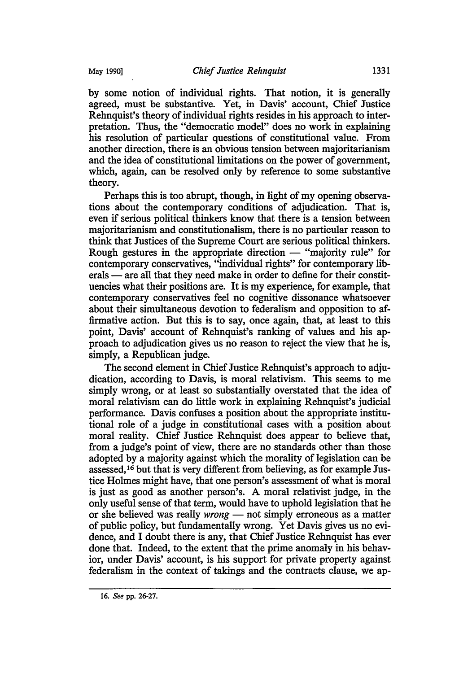by some notion of individual rights. That notion, it is generally agreed, must be substantive. Yet, in Davis' account, Chief Justice Rehnquist's theory of individual rights resides in his approach to interpretation. Thus, the "democratic model" does no work in explaining his resolution of particular questions of constitutional value. From another direction, there is an obvious tension between majoritarianism and the idea of constitutional limitations on the power of government, which, again, can be resolved only by reference to some substantive theory.

Perhaps this is too abrupt, though, in light of my opening observations about the contemporary conditions of adjudication. That is, even if serious political thinkers know that there is a tension between majoritarianism and constitutionalism, there is no particular reason to think that Justices of the Supreme Court are serious political thinkers. Rough gestures in the appropriate direction  $-$  "majority rule" for contemporary conservatives, "individual rights" for contemporary liberals - are all that they need make in order to define for their constituencies what their positions are. It is my experience, for example, that contemporary conservatives feel no cognitive dissonance whatsoever about their simultaneous devotion to federalism and opposition to affirmative action. But this is to say, once again, that, at least to this point, Davis' account of Rehnquist's ranking of values and his approach to adjudication gives us no reason to reject the view that he is, simply, a Republican judge.

The second element in Chief Justice Rehnquist's approach to adjudication, according to Davis, is moral relativism. This seems to me simply wrong, or at least so substantially overstated that the idea of moral relativism can do little work in explaining Rehnquist's judicial performance. Davis confuses a position about the appropriate institutional role of a judge in constitutional cases with a position about moral reality. Chief Justice Rehnquist does appear to believe that, from a judge's point of view, there are no standards other than those adopted by a majority against which the morality of legislation can be assessed, 16 but that is very different from believing, as for example Justice Holmes might have, that one person's assessment of what is moral is just as good as another person's. A moral relativist judge, in the only useful sense of that term, would have to uphold legislation that he or she believed was really *wrong* — not simply erroneous as a matter of public policy, but fundamentally wrong. Yet Davis gives us no evidence, and I doubt there is any, that Chief Justice Rehnquist has ever done that. Indeed, to the extent that the prime anomaly in his behavior, under Davis' account, is his support for private property against federalism in the context of takings and the contracts clause, we ap-

<sup>16.</sup> *See* pp. 26-27.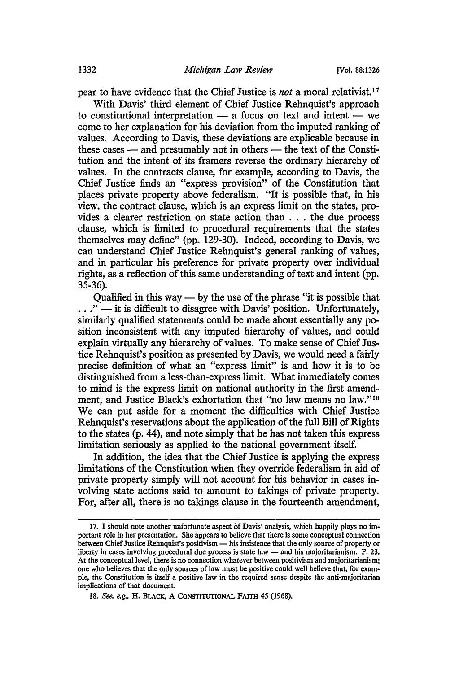pear to have evidence that the Chief Justice is *not* a moral relativist.17

With Davis' third element of Chief Justice Rehnquist's approach to constitutional interpretation  $-$  a focus on text and intent  $-$  we come to her explanation for his deviation from the imputed ranking of values. According to Davis, these deviations are explicable because in these cases — and presumably not in others — the text of the Constitution and the intent of its framers reverse the ordinary hierarchy of values. In the contracts clause, for example, according to Davis, the Chief Justice finds an "express provision" of the Constitution that places private property above federalism. "It is possible that, in his view, the contract clause, which is an express limit on the states, provides a clearer restriction on state action than . . . the due process clause, which is limited to procedural requirements that the states themselves may define" (pp. 129-30). Indeed, according to Davis, we can understand Chief Justice Rehnquist's general ranking of values, and in particular his preference for private property over individual rights, as a reflection of this same understanding of text and intent (pp. 35-36).

Qualified in this way — by the use of the phrase "it is possible that  $\ldots$  " — it is difficult to disagree with Davis' position. Unfortunately, similarly qualified statements could be made about essentially any position inconsistent with any imputed hierarchy of values, and could explain virtually any hierarchy of values. To make sense of Chief Justice Rehnquist's position as presented by Davis, we would need a fairly precise definition of what an "express limit" is and how it is to be distinguished from a less-than-express limit. What immediately comes to mind is the express limit on national authority in the first amendment, and Justice Black's exhortation that "no law means no law."<sup>18</sup> We can put aside for a moment the difficulties with Chief Justice Rehnquist's reservations about the application of the full Bill of Rights to the states (p. 44), and note simply that he has not taken this express limitation seriously as applied to the national government itself.

In addition, the idea that the Chief Justice is applying the express limitations of the Constitution when they override federalism in aid of private property simply will not account for his behavior in cases involving state actions said to amount to takings of private property. For, after all, there is no takings clause in the fourteenth amendment,

<sup>17.</sup> I should note another unfortunate aspect of Davis' analysis, which happily plays no important role in her presentation. She appears to believe that there is some conceptual connection between Chief Justice Rehnquist's positivism - his insistence that the only source of property or liberty in cases involving procedural due process is state law -- and his majoritarianism. P. 23. At the conceptual level, there is no connection whatever between positivism and majoritarianism; one who believes that the only sources oflaw must be positive could well believe that, for example, the Constitution is itself a positive law in the required sense despite the anti-majoritarian implications of that document.

<sup>18.</sup> *See, e.g.,* H. BLACK, A CONSTITUTIONAL FAITH 45 (1968).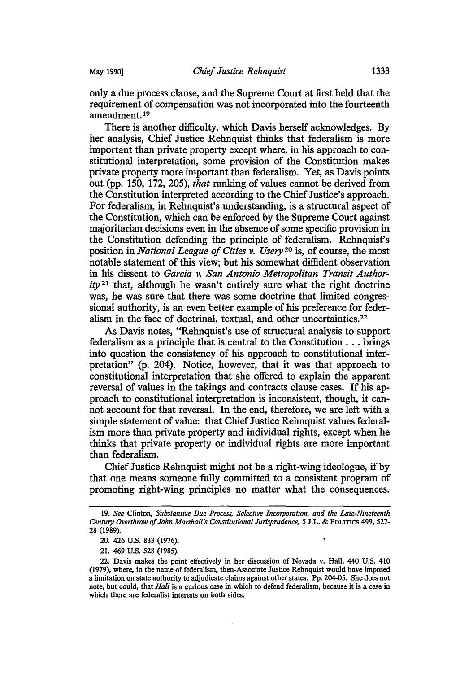only a due process clause, and the Supreme Court at first held that the requirement of compensation was not incorporated into the fourteenth amendment. <sup>19</sup>

There is another difficulty, which Davis herself acknowledges. By her analysis, Chief Justice Rehnquist thinks that federalism is more important than private property except where, in his approach to constitutional interpretation, some provision of the Constitution makes private property more important than federalism. Yet, as Davis points out (pp. 150, 172, 205), *that* ranking of values cannot be derived from the Constitution interpreted according to the Chief Justice's approach. For federalism, in Rehnquist's understanding, is a structural aspect of the Constitution, which can be enforced by the Supreme Court against majoritarian decisions even in the absence of some specific provision in the Constitution defending the principle of federalism. Rehnquist's position in *National League of Cities v. Usery* 20 is, of course, the most notable statement of this view; but his somewhat diffident observation in his dissent to *Garcia v. San Antonio Metropolitan Transit Authority* 21 that, although he wasn't entirely sure what the right doctrine was, he was sure that there was some doctrine that limited congressional authority, is an even better example of his preference for federalism in the face of doctrinal, textual, and other uncertainties. 22

As Davis notes, "Rehnquist's use of structural analysis to support federalism as a principle that is central to the Constitution ... brings into question the consistency of his approach to constitutional interpretation" (p. 204). Notice, however, that it was that approach to constitutional interpretation that she offered to explain the apparent reversal of values in the takings and contracts clause cases. If his approach to constitutional interpretation is inconsistent, though, it cannot account for that reversal. In the end, therefore, we are left with a simple statement of value: that Chief Justice Rehnquist values federalism more than private property and individual rights, except when he thinks that private property or individual rights are more important than federalism.

Chief Justice Rehnquist might not be a right-wing ideologue, if by that one means someone fully committed to a consistent program of promoting right-wing principles no matter what the consequences.

<sup>19.</sup> *See* Clinton, *Substantive Due Process, Selective Incorporation, and the Late-Nineteenth Century Overthrow of John Marshall's Constitutional Jurisprudence, 5* J.L. & POLITICS 499, 527- 28 (1989).

<sup>20. 426</sup> U.S. 833 (1976).

<sup>21. 469</sup> U.S. 528 (1985).

<sup>22.</sup> Davis makes the point effectively in her discussion of Nevada v. Hall, 440 U.S. 410 (1979), where, in the name of federalism, then-Associate Justice Rehnquist would have imposed a limitation on state authority to adjudicate claims against other states. Pp. 204-05. She does not note, but could, that *Hall* is a curious case in which to defend federalism, because it is a case in which there are federalist interests on both sides.